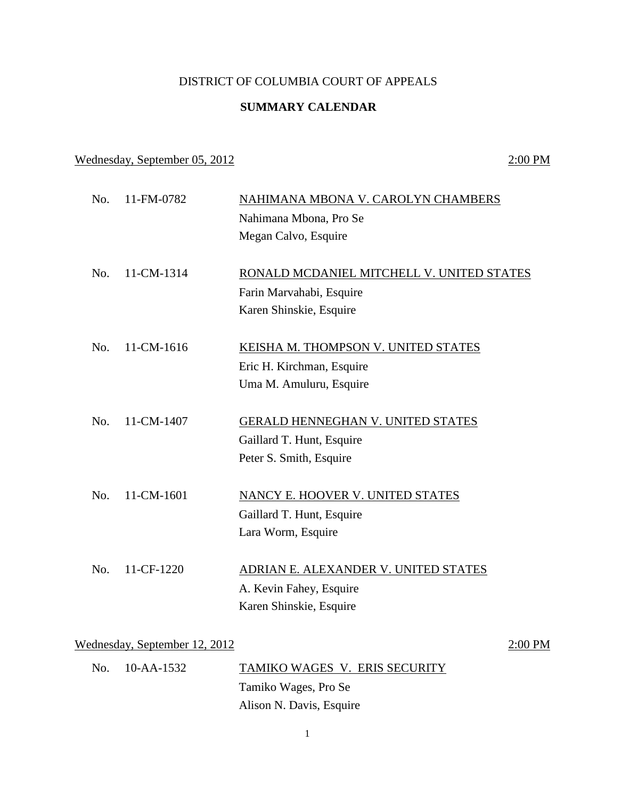# DISTRICT OF COLUMBIA COURT OF APPEALS

# **SUMMARY CALENDAR**

### Wednesday, September 05, 2012 2:00 PM

No. 11-FM-0782 NAHIMANA MBONA V. CAROLYN CHAMBERS Nahimana Mbona, Pro Se Megan Calvo, Esquire No. 11-CM-1314 RONALD MCDANIEL MITCHELL V. UNITED STATES Farin Marvahabi, Esquire Karen Shinskie, Esquire No. 11-CM-1616 KEISHA M. THOMPSON V. UNITED STATES Eric H. Kirchman, Esquire Uma M. Amuluru, Esquire No. 11-CM-1407 GERALD HENNEGHAN V. UNITED STATES Gaillard T. Hunt, Esquire Peter S. Smith, Esquire No. 11-CM-1601 NANCY E. HOOVER V. UNITED STATES Gaillard T. Hunt, Esquire Lara Worm, Esquire No. 11-CF-1220 ADRIAN E. ALEXANDER V. UNITED STATES A. Kevin Fahey, Esquire Karen Shinskie, Esquire Wednesday, September 12, 2012 2:00 PM

| No. 10-AA-1532 | TAMIKO WAGES V. ERIS SECURITY |
|----------------|-------------------------------|
|                | Tamiko Wages, Pro Se          |
|                | Alison N. Davis, Esquire      |

1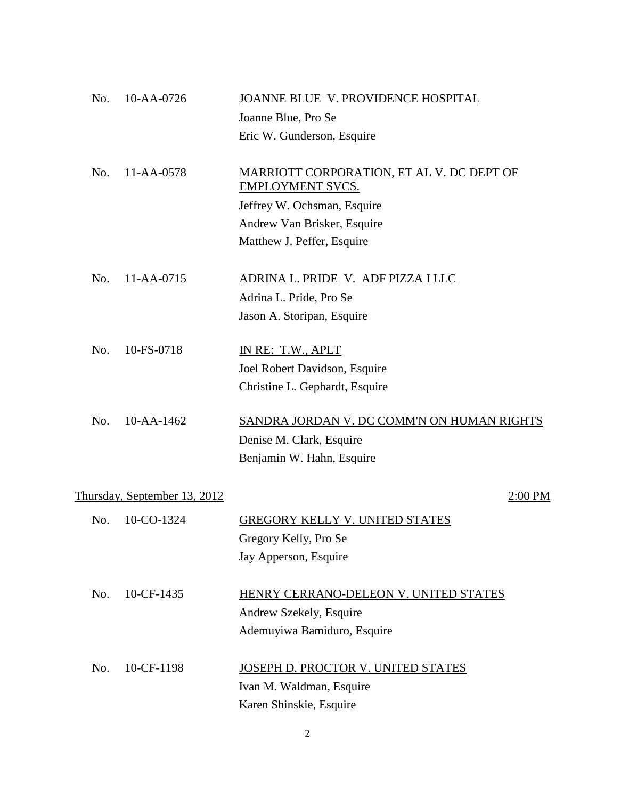| No. | 10-AA-0726                   | JOANNE BLUE V. PROVIDENCE HOSPITAL         |
|-----|------------------------------|--------------------------------------------|
|     |                              | Joanne Blue, Pro Se                        |
|     |                              | Eric W. Gunderson, Esquire                 |
|     |                              |                                            |
| No. | 11-AA-0578                   | MARRIOTT CORPORATION, ET AL V. DC DEPT OF  |
|     |                              | <b>EMPLOYMENT SVCS.</b>                    |
|     |                              | Jeffrey W. Ochsman, Esquire                |
|     |                              | Andrew Van Brisker, Esquire                |
|     |                              | Matthew J. Peffer, Esquire                 |
|     |                              |                                            |
| No. | 11-AA-0715                   | ADRINA L. PRIDE V. ADF PIZZA I LLC         |
|     |                              | Adrina L. Pride, Pro Se                    |
|     |                              | Jason A. Storipan, Esquire                 |
|     |                              |                                            |
| No. | 10-FS-0718                   | IN RE: T.W., APLT                          |
|     |                              | Joel Robert Davidson, Esquire              |
|     |                              | Christine L. Gephardt, Esquire             |
|     |                              |                                            |
| No. | $10 - AA - 1462$             | SANDRA JORDAN V. DC COMM'N ON HUMAN RIGHTS |
|     |                              | Denise M. Clark, Esquire                   |
|     |                              | Benjamin W. Hahn, Esquire                  |
|     |                              |                                            |
|     | Thursday, September 13, 2012 | 2:00 PM                                    |
| No. | 10-CO-1324                   | <b>GREGORY KELLY V. UNITED STATES</b>      |
|     |                              | Gregory Kelly, Pro Se                      |
|     |                              |                                            |
|     |                              | Jay Apperson, Esquire                      |
| No. | 10-CF-1435                   | HENRY CERRANO-DELEON V. UNITED STATES      |
|     |                              | Andrew Szekely, Esquire                    |
|     |                              | Ademuyiwa Bamiduro, Esquire                |
|     |                              |                                            |
| No. | 10-CF-1198                   | JOSEPH D. PROCTOR V. UNITED STATES         |
|     |                              | Ivan M. Waldman, Esquire                   |
|     |                              | Karen Shinskie, Esquire                    |
|     |                              |                                            |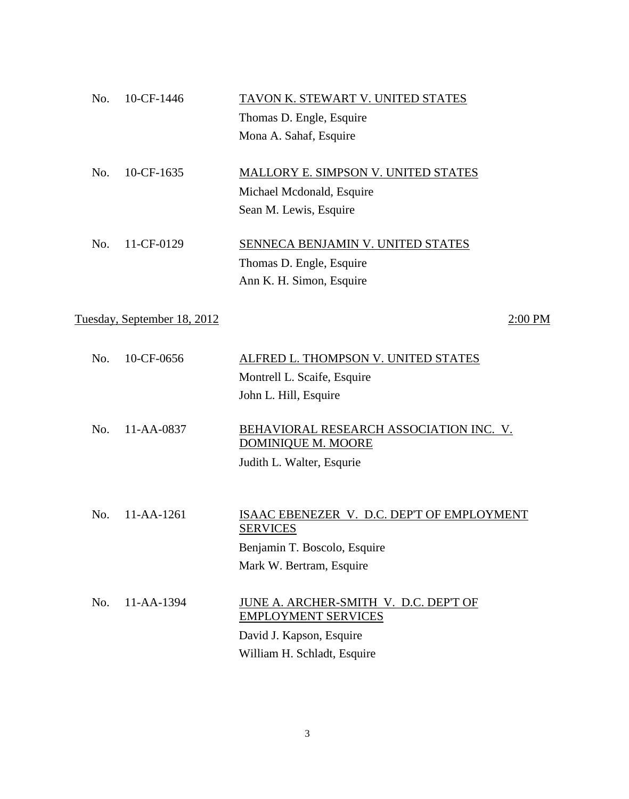| No. | 10-CF-1446                  | TAVON K. STEWART V. UNITED STATES          |
|-----|-----------------------------|--------------------------------------------|
|     |                             | Thomas D. Engle, Esquire                   |
|     |                             | Mona A. Sahaf, Esquire                     |
| No. | 10-CF-1635                  | MALLORY E. SIMPSON V. UNITED STATES        |
|     |                             | Michael Mcdonald, Esquire                  |
|     |                             | Sean M. Lewis, Esquire                     |
| No. | 11-CF-0129                  | SENNECA BENJAMIN V. UNITED STATES          |
|     |                             |                                            |
|     |                             | Thomas D. Engle, Esquire                   |
|     |                             | Ann K. H. Simon, Esquire                   |
|     | Tuesday, September 18, 2012 | $2:00$ PM                                  |
| No. | 10-CF-0656                  | ALFRED L. THOMPSON V. UNITED STATES        |
|     |                             | Montrell L. Scaife, Esquire                |
|     |                             | John L. Hill, Esquire                      |
|     |                             |                                            |
| No. | $11 - AA - 0837$            | BEHAVIORAL RESEARCH ASSOCIATION INC. V.    |
|     |                             | DOMINIQUE M. MOORE                         |
|     |                             | Judith L. Walter, Esqurie                  |
|     |                             |                                            |
| No. | $11 - AA - 1261$            | ISAAC EBENEZER V. D.C. DEP'T OF EMPLOYMENT |
|     |                             | <b>SERVICES</b>                            |
|     |                             | Benjamin T. Boscolo, Esquire               |
|     |                             | Mark W. Bertram, Esquire                   |
| No. | 11-AA-1394                  | JUNE A. ARCHER-SMITH V. D.C. DEP'T OF      |
|     |                             | <b>EMPLOYMENT SERVICES</b>                 |
|     |                             | David J. Kapson, Esquire                   |

3

William H. Schladt, Esquire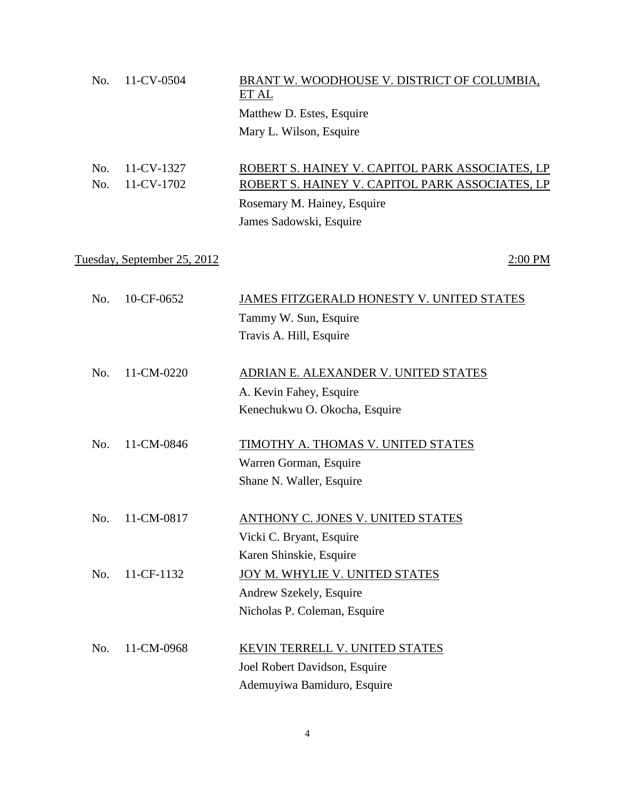| 11-CV-0504<br>No. | BRANT W. WOODHOUSE V. DISTRICT OF COLUMBIA,<br>ET AL |                                                 |
|-------------------|------------------------------------------------------|-------------------------------------------------|
|                   |                                                      | Matthew D. Estes, Esquire                       |
|                   |                                                      | Mary L. Wilson, Esquire                         |
|                   |                                                      |                                                 |
| No.               | 11-CV-1327                                           | ROBERT S. HAINEY V. CAPITOL PARK ASSOCIATES, LP |
| No.               | 11-CV-1702                                           | ROBERT S. HAINEY V. CAPITOL PARK ASSOCIATES, LP |
|                   |                                                      | Rosemary M. Hainey, Esquire                     |
|                   |                                                      | James Sadowski, Esquire                         |
|                   |                                                      |                                                 |
|                   | <u>Tuesday, September 25, 2012</u>                   | 2:00 PM                                         |
|                   |                                                      |                                                 |
| No.               | 10-CF-0652                                           | JAMES FITZGERALD HONESTY V. UNITED STATES       |
|                   |                                                      | Tammy W. Sun, Esquire                           |
|                   |                                                      | Travis A. Hill, Esquire                         |
|                   |                                                      |                                                 |
| No.               | 11-CM-0220                                           | ADRIAN E. ALEXANDER V. UNITED STATES            |
|                   |                                                      | A. Kevin Fahey, Esquire                         |
|                   |                                                      | Kenechukwu O. Okocha, Esquire                   |
|                   |                                                      |                                                 |
| No.               | 11-CM-0846                                           | TIMOTHY A. THOMAS V. UNITED STATES              |
|                   |                                                      | Warren Gorman, Esquire                          |
|                   |                                                      | Shane N. Waller, Esquire                        |
|                   |                                                      |                                                 |
| No.               | 11-CM-0817                                           | <b>ANTHONY C. JONES V. UNITED STATES</b>        |
|                   |                                                      | Vicki C. Bryant, Esquire                        |
|                   |                                                      | Karen Shinskie, Esquire                         |
| No.               | 11-CF-1132                                           | JOY M. WHYLIE V. UNITED STATES                  |
|                   |                                                      | Andrew Szekely, Esquire                         |
|                   |                                                      | Nicholas P. Coleman, Esquire                    |
|                   |                                                      |                                                 |
| No.               | 11-CM-0968                                           | KEVIN TERRELL V. UNITED STATES                  |
|                   |                                                      | Joel Robert Davidson, Esquire                   |
|                   |                                                      | Ademuyiwa Bamiduro, Esquire                     |